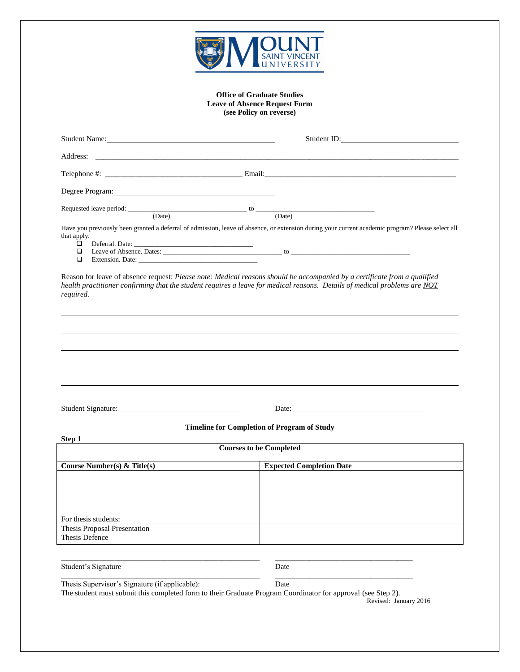

## **Office of Graduate Studies Leave of Absence Request Form (see Policy on reverse)**

|                                                                                                                                                                | Student ID: The Student ID: The Student ID: The Student ID: The Student ID: The Student ID: The Student ID: The Student ID: The Student ID: The Student ID: The Student ID: The Student ID: The Student ID: The Student ID: Th |  |  |  |
|----------------------------------------------------------------------------------------------------------------------------------------------------------------|--------------------------------------------------------------------------------------------------------------------------------------------------------------------------------------------------------------------------------|--|--|--|
|                                                                                                                                                                |                                                                                                                                                                                                                                |  |  |  |
|                                                                                                                                                                |                                                                                                                                                                                                                                |  |  |  |
|                                                                                                                                                                |                                                                                                                                                                                                                                |  |  |  |
|                                                                                                                                                                |                                                                                                                                                                                                                                |  |  |  |
|                                                                                                                                                                |                                                                                                                                                                                                                                |  |  |  |
| that apply.<br>$\Box$                                                                                                                                          | Have you previously been granted a deferral of admission, leave of absence, or extension during your current academic program? Please select all                                                                               |  |  |  |
| $\Box$<br>□                                                                                                                                                    |                                                                                                                                                                                                                                |  |  |  |
| required.<br>Student Signature:                                                                                                                                | Date:                                                                                                                                                                                                                          |  |  |  |
|                                                                                                                                                                | <b>Timeline for Completion of Program of Study</b>                                                                                                                                                                             |  |  |  |
| Step 1<br><b>Courses to be Completed</b>                                                                                                                       |                                                                                                                                                                                                                                |  |  |  |
| Course Number(s) & Title(s)                                                                                                                                    | <b>Expected Completion Date</b>                                                                                                                                                                                                |  |  |  |
|                                                                                                                                                                |                                                                                                                                                                                                                                |  |  |  |
| For thesis students:                                                                                                                                           |                                                                                                                                                                                                                                |  |  |  |
| Thesis Proposal Presentation<br>Thesis Defence                                                                                                                 |                                                                                                                                                                                                                                |  |  |  |
|                                                                                                                                                                |                                                                                                                                                                                                                                |  |  |  |
| Student's Signature                                                                                                                                            | Date                                                                                                                                                                                                                           |  |  |  |
| Thesis Supervisor's Signature (if applicable):<br>The student must submit this completed form to their Graduate Program Coordinator for approval (see Step 2). | Date<br>Revised: January 2016                                                                                                                                                                                                  |  |  |  |